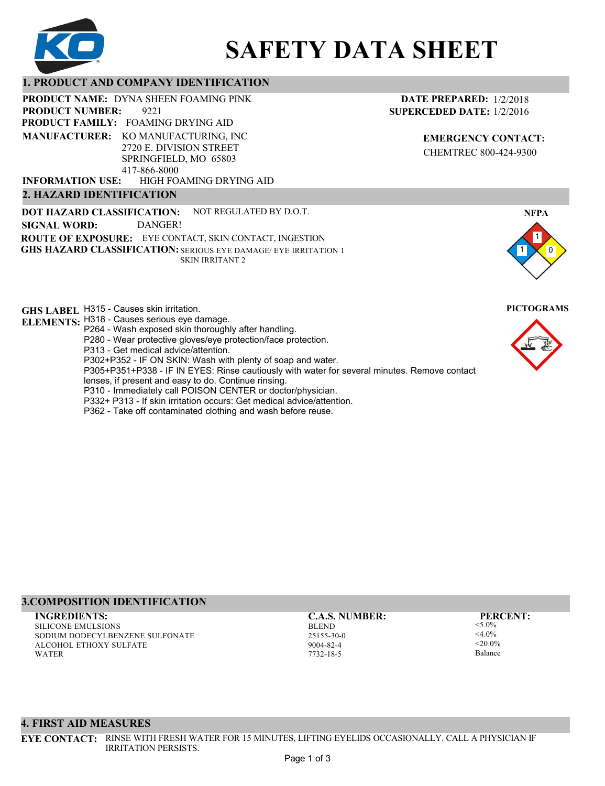

# **SAFETY DATA SHEET**

# **1. PRODUCT AND COMPANY IDENTIFICATION**

**PRODUCT NAME: DYNA SHEEN FOAMING PINK** 

9221 **PRODUCT FAMILY: FOAMING DRYING AID** HIGH FOAMING DRYING AID **PRODUCT NUMBER: MANUFACTURER:** KO MANUFACTURING, INC 2720 E. DIVISION STREET SPRINGFIELD, MO 65803 417-866-8000 **INFORMATION USE:**

## **2. HAZARD IDENTIFICATION**

**DOT HAZARD CLASSIFICATION: GHS HAZARD CLASSIFICATION:** SERIOUS EYE DAMAGE/ EYE IRRITATION 1 **ROUTE OF EXPOSURE:** EYE CONTACT, SKIN CONTACT, INGESTION NOT REGULATED BY D.O.T. SKIN IRRITANT 2 **SIGNAL WORD:** DANGER!

**GHS LABEL**  H315 - Causes skin irritation. **PICTOGRAMS ELEMENTS:** H318 - Causes serious eye damage.

- P264 Wash exposed skin thoroughly after handling.
	- P280 Wear protective gloves/eye protection/face protection.
	- P313 Get medical advice/attention.
	- P302+P352 IF ON SKIN: Wash with plenty of soap and water.

P305+P351+P338 - IF IN EYES: Rinse cautiously with water for several minutes. Remove contact

- lenses, if present and easy to do. Continue rinsing.
- P310 Immediately call POISON CENTER or doctor/physician.
- P332+ P313 If skin irritation occurs: Get medical advice/attention.
- P362 Take off contaminated clothing and wash before reuse.

# **DATE PREPARED:** 1/2/2018 **SUPERCEDED DATE:** 1/2/2016

**EMERGENCY CONTACT:** CHEMTREC 800-424-9300



# **3.COMPOSITION IDENTIFICATION**

SILICONE EMULSIONS SODIUM DODECYLBENZENE SULFONATE ALCOHOL ETHOXY SULFATE WATER **INGREDIENTS: C.A.S. NUMBER: PERCENT:**

BLEND 25155-30-0 9004-82-4 7732-18-5

<5.0%  $<$ 4.0%  $-20.094$ 

Balance

#### **4. FIRST AID MEASURES**

**EYE CONTACT:** RINSE WITH FRESH WATER FOR 15 MINUTES, LIFTING EYELIDS OCCASIONALLY. CALL A PHYSICIAN IF IRRITATION PERSISTS.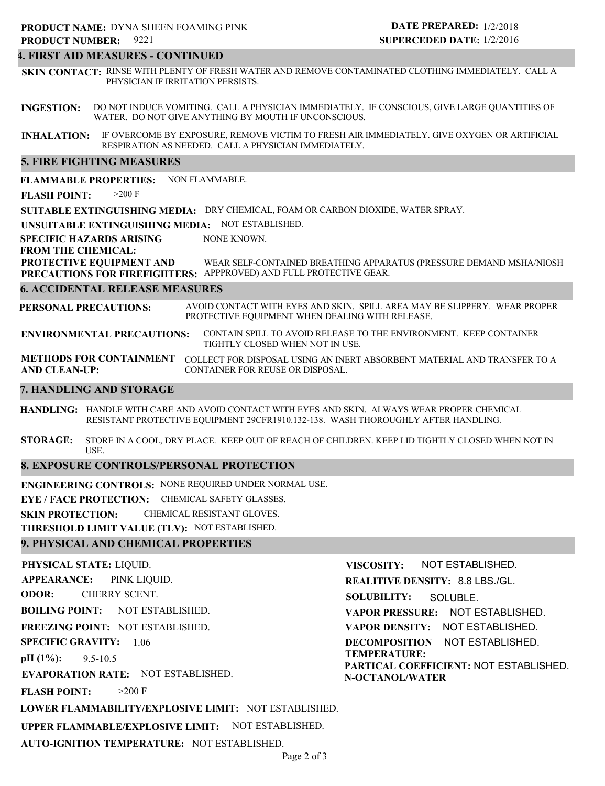# **4. FIRST AID MEASURES - CONTINUED**

**SKIN CONTACT:** RINSE WITH PLENTY OF FRESH WATER AND REMOVE CONTAMINATED CLOTHING IMMEDIATELY. CALL A PHYSICIAN IF IRRITATION PERSISTS.

**INGESTION:** DO NOT INDUCE VOMITING. CALL A PHYSICIAN IMMEDIATELY. IF CONSCIOUS, GIVE LARGE QUANTITIES OF WATER. DO NOT GIVE ANYTHING BY MOUTH IF UNCONSCIOUS.

**INHALATION:** IF OVERCOME BY EXPOSURE, REMOVE VICTIM TO FRESH AIR IMMEDIATELY. GIVE OXYGEN OR ARTIFICIAL RESPIRATION AS NEEDED. CALL A PHYSICIAN IMMEDIATELY.

#### **5. FIRE FIGHTING MEASURES**

**FLAMMABLE PROPERTIES:** NON FLAMMABLE.

**FLASH POINT:** >200 F

**SUITABLE EXTINGUISHING MEDIA:** DRY CHEMICAL, FOAM OR CARBON DIOXIDE, WATER SPRAY.

**UNSUITABLE EXTINGUISHING MEDIA:** NOT ESTABLISHED.

**SPECIFIC HAZARDS ARISING** NONE KNOWN.

**FROM THE CHEMICAL:**

**PROTECTIVE EQUIPMENT AND PRECAUTIONS FOR FIREFIGHTERS:** APPPROVED) AND FULL PROTECTIVE GEAR. WEAR SELF-CONTAINED BREATHING APPARATUS (PRESSURE DEMAND MSHA/NIOSH

#### **6. ACCIDENTAL RELEASE MEASURES**

**PERSONAL PRECAUTIONS:** AVOID CONTACT WITH EYES AND SKIN. SPILL AREA MAY BE SLIPPERY. WEAR PROPER PROTECTIVE EQUIPMENT WHEN DEALING WITH RELEASE.

**ENVIRONMENTAL PRECAUTIONS:** CONTAIN SPILL TO AVOID RELEASE TO THE ENVIRONMENT. KEEP CONTAINER TIGHTLY CLOSED WHEN NOT IN USE.

**METHODS FOR CONTAINMENT** COLLECT FOR DISPOSAL USING AN INERT ABSORBENT MATERIAL AND TRANSFER TO A **AND CLEAN-UP:** CONTAINER FOR REUSE OR DISPOSAL.

#### **7. HANDLING AND STORAGE**

**HANDLING:** HANDLE WITH CARE AND AVOID CONTACT WITH EYES AND SKIN. ALWAYS WEAR PROPER CHEMICAL RESISTANT PROTECTIVE EQUIPMENT 29CFR1910.132-138. WASH THOROUGHLY AFTER HANDLING.

**STORAGE:** STORE IN A COOL, DRY PLACE. KEEP OUT OF REACH OF CHILDREN. KEEP LID TIGHTLY CLOSED WHEN NOT IN USE.

#### **8. EXPOSURE CONTROLS/PERSONAL PROTECTION**

**ENGINEERING CONTROLS:** NONE REQUIRED UNDER NORMAL USE.

**EYE / FACE PROTECTION:** CHEMICAL SAFETY GLASSES.

**SKIN PROTECTION:** CHEMICAL RESISTANT GLOVES.

**THRESHOLD LIMIT VALUE (TLV):** NOT ESTABLISHED.

#### **9. PHYSICAL AND CHEMICAL PROPERTIES**

**PHYSICAL STATE:** LIQUID. **APPEARANCE: ODOR: BOILING POINT:** NOT ESTABLISHED. **FREEZING POINT:** NOT ESTABLISHED. **SPECIFIC GRAVITY:** 1.06 **pH (1%): EVAPORATION RATE:** NOT ESTABLISHED. **FLASH POINT: LOWER FLAMMABILITY/EXPLOSIVE LIMIT:** NOT ESTABLISHED. **UPPER FLAMMABLE/EXPLOSIVE LIMIT:** NOT ESTABLISHED. 9.5-10.5  $>200$  F PINK LIQUID. CHERRY SCENT. **VISCOSITY: REALITIVE DENSITY:** 8.8 LBS./GL. **SOLUBILITY: VAPOR PRESSURE:** NOT ESTABLISHED. **VAPOR DENSITY:** NOT ESTABLISHED. **DECOMPOSITION** NOT ESTABLISHED. **TEMPERATURE: PARTICAL COEFFICIENT:** NOT ESTABLISHED. **N-OCTANOL/WATER** NOT ESTABLISHED. SOLUBLE.

**AUTO-IGNITION TEMPERATURE:** NOT ESTABLISHED.